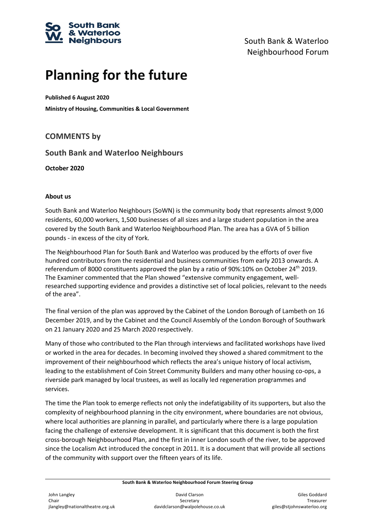

## **Planning for the future**

**Published 6 August 2020**

**Ministry of Housing, Communities & Local Government**

## **COMMENTS by**

### **South Bank and Waterloo Neighbours**

**October 2020**

#### **About us**

South Bank and Waterloo Neighbours (SoWN) is the community body that represents almost 9,000 residents, 60,000 workers, 1,500 businesses of all sizes and a large student population in the area covered by the South Bank and Waterloo Neighbourhood Plan. The area has a GVA of 5 billion pounds - in excess of the city of York.

The Neighbourhood Plan for South Bank and Waterloo was produced by the efforts of over five hundred contributors from the residential and business communities from early 2013 onwards. A referendum of 8000 constituents approved the plan by a ratio of 90%:10% on October 24<sup>th</sup> 2019. The Examiner commented that the Plan showed "extensive community engagement, wellresearched supporting evidence and provides a distinctive set of local policies, relevant to the needs of the area".

The final version of the plan was approved by the Cabinet of the London Borough of Lambeth on 16 December 2019, and by the Cabinet and the Council Assembly of the London Borough of Southwark on 21 January 2020 and 25 March 2020 respectively.

Many of those who contributed to the Plan through interviews and facilitated workshops have lived or worked in the area for decades. In becoming involved they showed a shared commitment to the improvement of their neighbourhood which reflects the area's unique history of local activism, leading to the establishment of Coin Street Community Builders and many other housing co-ops, a riverside park managed by local trustees, as well as locally led regeneration programmes and services.

The time the Plan took to emerge reflects not only the indefatigability of its supporters, but also the complexity of neighbourhood planning in the city environment, where boundaries are not obvious, where local authorities are planning in parallel, and particularly where there is a large population facing the challenge of extensive development. It is significant that this document is both the first cross-borough Neighbourhood Plan, and the first in inner London south of the river, to be approved since the Localism Act introduced the concept in 2011. It is a document that will provide all sections of the community with support over the fifteen years of its life.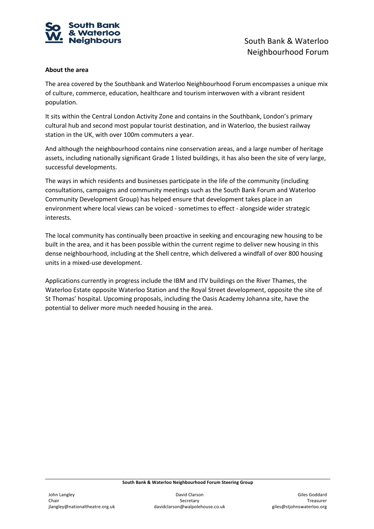

#### **About the area**

The area covered by the Southbank and Waterloo Neighbourhood Forum encompasses a unique mix of culture, commerce, education, healthcare and tourism interwoven with a vibrant resident population.

It sits within the Central London Activity Zone and contains in the Southbank, London's primary cultural hub and second most popular tourist destination, and in Waterloo, the busiest railway station in the UK, with over 100m commuters a year.

And although the neighbourhood contains nine conservation areas, and a large number of heritage assets, including nationally significant Grade 1 listed buildings, it has also been the site of very large, successful developments.

The ways in which residents and businesses participate in the life of the community (including consultations, campaigns and community meetings such as the South Bank Forum and Waterloo Community Development Group) has helped ensure that development takes place in an environment where local views can be voiced - sometimes to effect - alongside wider strategic interests.

The local community has continually been proactive in seeking and encouraging new housing to be built in the area, and it has been possible within the current regime to deliver new housing in this dense neighbourhood, including at the Shell centre, which delivered a windfall of over 800 housing units in a mixed-use development.

Applications currently in progress include the IBM and ITV buildings on the River Thames, the Waterloo Estate opposite Waterloo Station and the Royal Street development, opposite the site of St Thomas' hospital. Upcoming proposals, including the Oasis Academy Johanna site, have the potential to deliver more much needed housing in the area.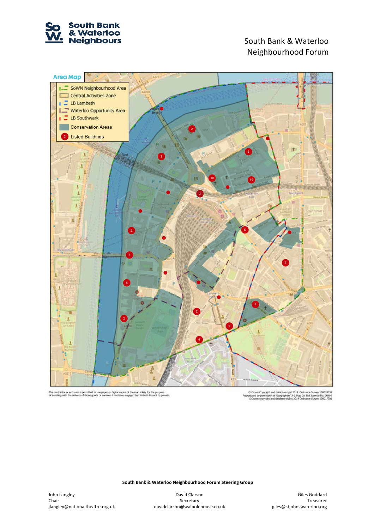

# Neighbourhood Forum



The contractor or end user is permitted to use paper or digital copies of the map solely for the purpose<br>of assisting with the delivery of those goods or services it has been engaged by Lambeth Council to provide

C Crown Copyright and database right 2019. Ordinance Survey 100019338<br>induced by permission of Geographers' A-Z Map Co. Ltd. Licence No. C0466<br>CCrown copyright and database rights 2019 Ordinance Survey 100017302 Repro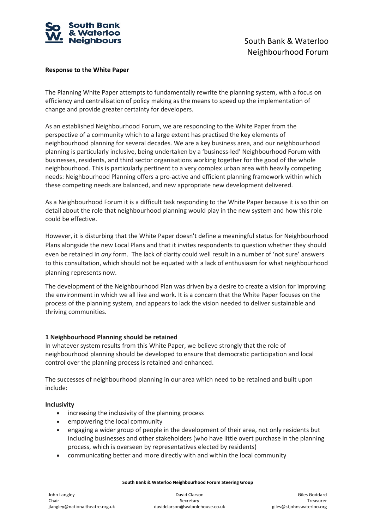

#### **Response to the White Paper**

The Planning White Paper attempts to fundamentally rewrite the planning system, with a focus on efficiency and centralisation of policy making as the means to speed up the implementation of change and provide greater certainty for developers.

As an established Neighbourhood Forum, we are responding to the White Paper from the perspective of a community which to a large extent has practised the key elements of neighbourhood planning for several decades. We are a key business area, and our neighbourhood planning is particularly inclusive, being undertaken by a 'business-led' Neighbourhood Forum with businesses, residents, and third sector organisations working together for the good of the whole neighbourhood. This is particularly pertinent to a very complex urban area with heavily competing needs: Neighbourhood Planning offers a pro-active and efficient planning framework within which these competing needs are balanced, and new appropriate new development delivered.

As a Neighbourhood Forum it is a difficult task responding to the White Paper because it is so thin on detail about the role that neighbourhood planning would play in the new system and how this role could be effective.

However, it is disturbing that the White Paper doesn't define a meaningful status for Neighbourhood Plans alongside the new Local Plans and that it invites respondents to question whether they should even be retained in *any* form. The lack of clarity could well result in a number of 'not sure' answers to this consultation, which should not be equated with a lack of enthusiasm for what neighbourhood planning represents now.

The development of the Neighbourhood Plan was driven by a desire to create a vision for improving the environment in which we all live and work. It is a concern that the White Paper focuses on the process of the planning system, and appears to lack the vision needed to deliver sustainable and thriving communities.

#### **1 Neighbourhood Planning should be retained**

In whatever system results from this White Paper, we believe strongly that the role of neighbourhood planning should be developed to ensure that democratic participation and local control over the planning process is retained and enhanced.

The successes of neighbourhood planning in our area which need to be retained and built upon include:

#### **Inclusivity**

- increasing the inclusivity of the planning process
- empowering the local community
- engaging a wider group of people in the development of their area, not only residents but including businesses and other stakeholders (who have little overt purchase in the planning process, which is overseen by representatives elected by residents)
- communicating better and more directly with and within the local community

**South Bank & Waterloo Neighbourhood Forum Steering Group**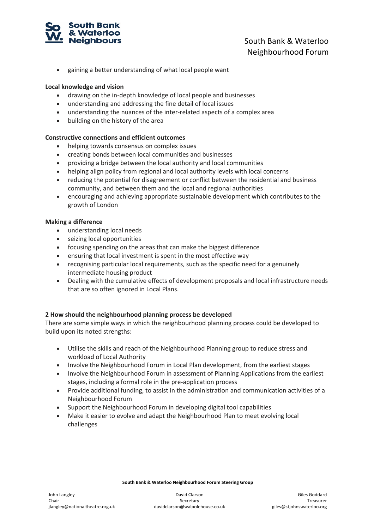

## **Neighbours Example 2018** South Bank & Waterloo Neighbourhood Forum

• gaining a better understanding of what local people want

#### **Local knowledge and vision**

- drawing on the in-depth knowledge of local people and businesses
- understanding and addressing the fine detail of local issues
- understanding the nuances of the inter-related aspects of a complex area
- building on the history of the area

#### **Constructive connections and efficient outcomes**

- helping towards consensus on complex issues
- creating bonds between local communities and businesses
- providing a bridge between the local authority and local communities
- helping align policy from regional and local authority levels with local concerns
- reducing the potential for disagreement or conflict between the residential and business community, and between them and the local and regional authorities
- encouraging and achieving appropriate sustainable development which contributes to the growth of London

#### **Making a difference**

- understanding local needs
- seizing local opportunities
- focusing spending on the areas that can make the biggest difference
- ensuring that local investment is spent in the most effective way
- recognising particular local requirements, such as the specific need for a genuinely intermediate housing product
- Dealing with the cumulative effects of development proposals and local infrastructure needs that are so often ignored in Local Plans.

#### **2 How should the neighbourhood planning process be developed**

There are some simple ways in which the neighbourhood planning process could be developed to build upon its noted strengths:

- Utilise the skills and reach of the Neighbourhood Planning group to reduce stress and workload of Local Authority
- Involve the Neighbourhood Forum in Local Plan development, from the earliest stages
- Involve the Neighbourhood Forum in assessment of Planning Applications from the earliest stages, including a formal role in the pre-application process
- Provide additional funding, to assist in the administration and communication activities of a Neighbourhood Forum
- Support the Neighbourhood Forum in developing digital tool capabilities
- Make it easier to evolve and adapt the Neighbourhood Plan to meet evolving local challenges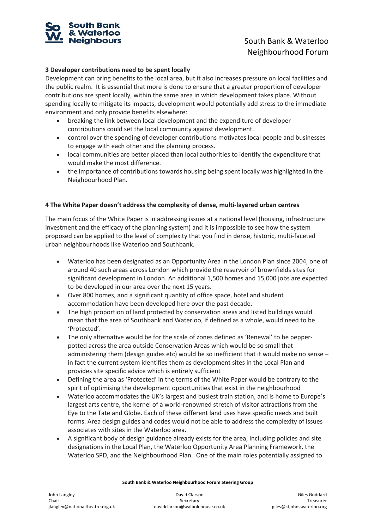

## **Neighbours** and the south Bank & Waterloo Neighbourhood Forum

#### **3 Developer contributions need to be spent locally**

Development can bring benefits to the local area, but it also increases pressure on local facilities and the public realm. It is essential that more is done to ensure that a greater proportion of developer contributions are spent locally, within the same area in which development takes place. Without spending locally to mitigate its impacts, development would potentially add stress to the immediate environment and only provide benefits elsewhere:

- breaking the link between local development and the expenditure of developer contributions could set the local community against development.
- control over the spending of developer contributions motivates local people and businesses to engage with each other and the planning process.
- local communities are better placed than local authorities to identify the expenditure that would make the most difference.
- the importance of contributions towards housing being spent locally was highlighted in the Neighbourhood Plan.

#### **4 The White Paper doesn't address the complexity of dense, multi-layered urban centres**

The main focus of the White Paper is in addressing issues at a national level (housing, infrastructure investment and the efficacy of the planning system) and it is impossible to see how the system proposed can be applied to the level of complexity that you find in dense, historic, multi-faceted urban neighbourhoods like Waterloo and Southbank.

- Waterloo has been designated as an Opportunity Area in the London Plan since 2004, one of around 40 such areas across London which provide the reservoir of brownfields sites for significant development in London. An additional 1,500 homes and 15,000 jobs are expected to be developed in our area over the next 15 years.
- Over 800 homes, and a significant quantity of office space, hotel and student accommodation have been developed here over the past decade.
- The high proportion of land protected by conservation areas and listed buildings would mean that the area of Southbank and Waterloo, if defined as a whole, would need to be 'Protected'.
- The only alternative would be for the scale of zones defined as 'Renewal' to be pepperpotted across the area outside Conservation Areas which would be so small that administering them (design guides etc) would be so inefficient that it would make no sense – in fact the current system identifies them as development sites in the Local Plan and provides site specific advice which is entirely sufficient
- Defining the area as 'Protected' in the terms of the White Paper would be contrary to the spirit of optimising the development opportunities that exist in the neighbourhood
- Waterloo accommodates the UK's largest and busiest train station, and is home to Europe's largest arts centre, the kernel of a world-renowned stretch of visitor attractions from the Eye to the Tate and Globe. Each of these different land uses have specific needs and built forms. Area design guides and codes would not be able to address the complexity of issues associates with sites in the Waterloo area.
- A significant body of design guidance already exists for the area, including policies and site designations in the Local Plan, the Waterloo Opportunity Area Planning Framework, the Waterloo SPD, and the Neighbourhood Plan. One of the main roles potentially assigned to